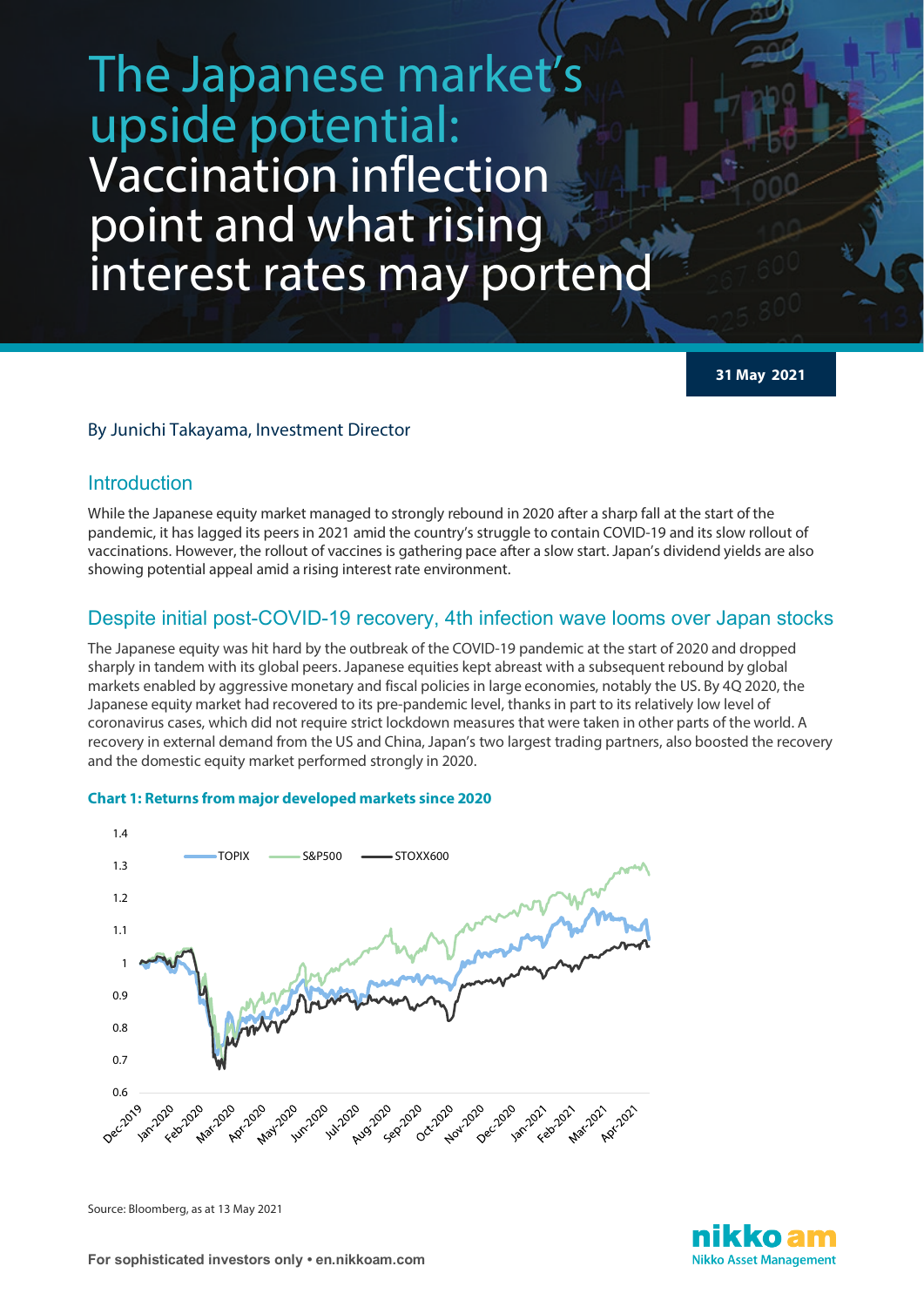# The Japanese market's upside potential: Vaccination inflection point and what rising interest rates may portend

**31 May 2021**

## By Junichi Takayama, Investment Director

## Introduction

While the Japanese equity market managed to strongly rebound in 2020 after a sharp fall at the start of the pandemic, it has lagged its peers in 2021 amid the country's struggle to contain COVID-19 and its slow rollout of vaccinations. However, the rollout of vaccines is gathering pace after a slow start. Japan's dividend yields are also showing potential appeal amid a rising interest rate environment.

# Despite initial post-COVID-19 recovery, 4th infection wave looms over Japan stocks

The Japanese equity was hit hard by the outbreak of the COVID-19 pandemic at the start of 2020 and dropped sharply in tandem with its global peers. Japanese equities kept abreast with a subsequent rebound by global markets enabled by aggressive monetary and fiscal policies in large economies, notably the US. By 4Q 2020, the Japanese equity market had recovered to its pre-pandemic level, thanks in part to its relatively low level of coronavirus cases, which did not require strict lockdown measures that were taken in other parts of the world. A recovery in external demand from the US and China, Japan's two largest trading partners, also boosted the recovery and the domestic equity market performed strongly in 2020.



## **Chart 1: Returns from major developed markets since 2020**

Source: Bloomberg, as at 13 May 2021

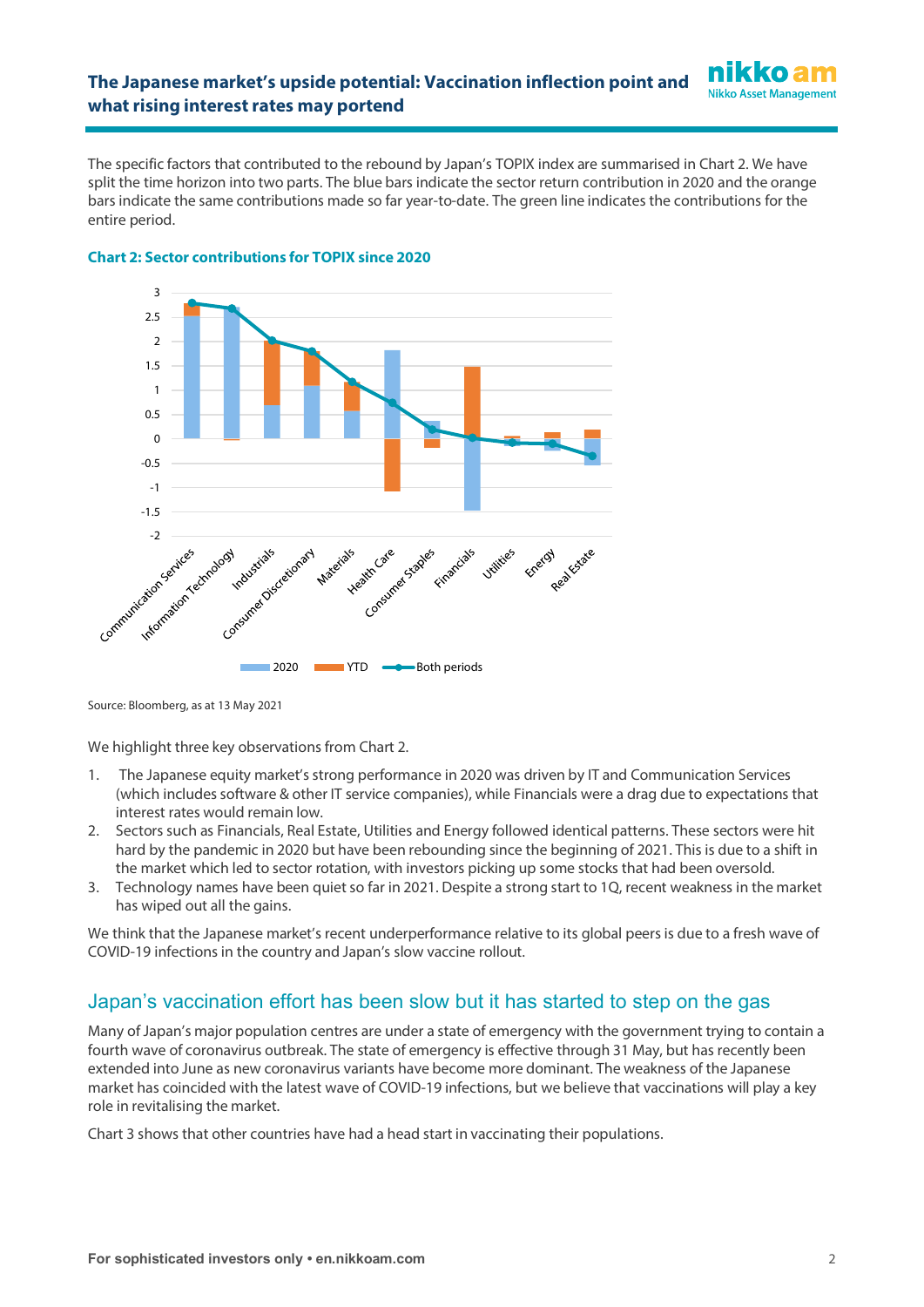The specific factors that contributed to the rebound by Japan's TOPIX index are summarised in Chart 2. We have split the time horizon into two parts. The blue bars indicate the sector return contribution in 2020 and the orange bars indicate the same contributions made so far year-to-date. The green line indicates the contributions for the entire period.



### **Chart 2: Sector contributions for TOPIX since 2020**

Source: Bloomberg, as at 13 May 2021

We highlight three key observations from Chart 2.

- 1. The Japanese equity market's strong performance in 2020 was driven by IT and Communication Services (which includes software & other IT service companies), while Financials were a drag due to expectations that interest rates would remain low.
- 2. Sectors such as Financials, Real Estate, Utilities and Energy followed identical patterns. These sectors were hit hard by the pandemic in 2020 but have been rebounding since the beginning of 2021. This is due to a shift in the market which led to sector rotation, with investors picking up some stocks that had been oversold.
- 3. Technology names have been quiet so far in 2021. Despite a strong start to 1Q, recent weakness in the market has wiped out all the gains.

We think that the Japanese market's recent underperformance relative to its global peers is due to a fresh wave of COVID-19 infections in the country and Japan's slow vaccine rollout.

# Japan's vaccination effort has been slow but it has started to step on the gas

Many of Japan's major population centres are under a state of emergency with the government trying to contain a fourth wave of coronavirus outbreak. The state of emergency is effective through 31 May, but has recently been extended into June as new coronavirus variants have become more dominant. The weakness of the Japanese market has coincided with the latest wave of COVID-19 infections, but we believe that vaccinations will play a key role in revitalising the market.

Chart 3 shows that other countries have had a head start in vaccinating their populations.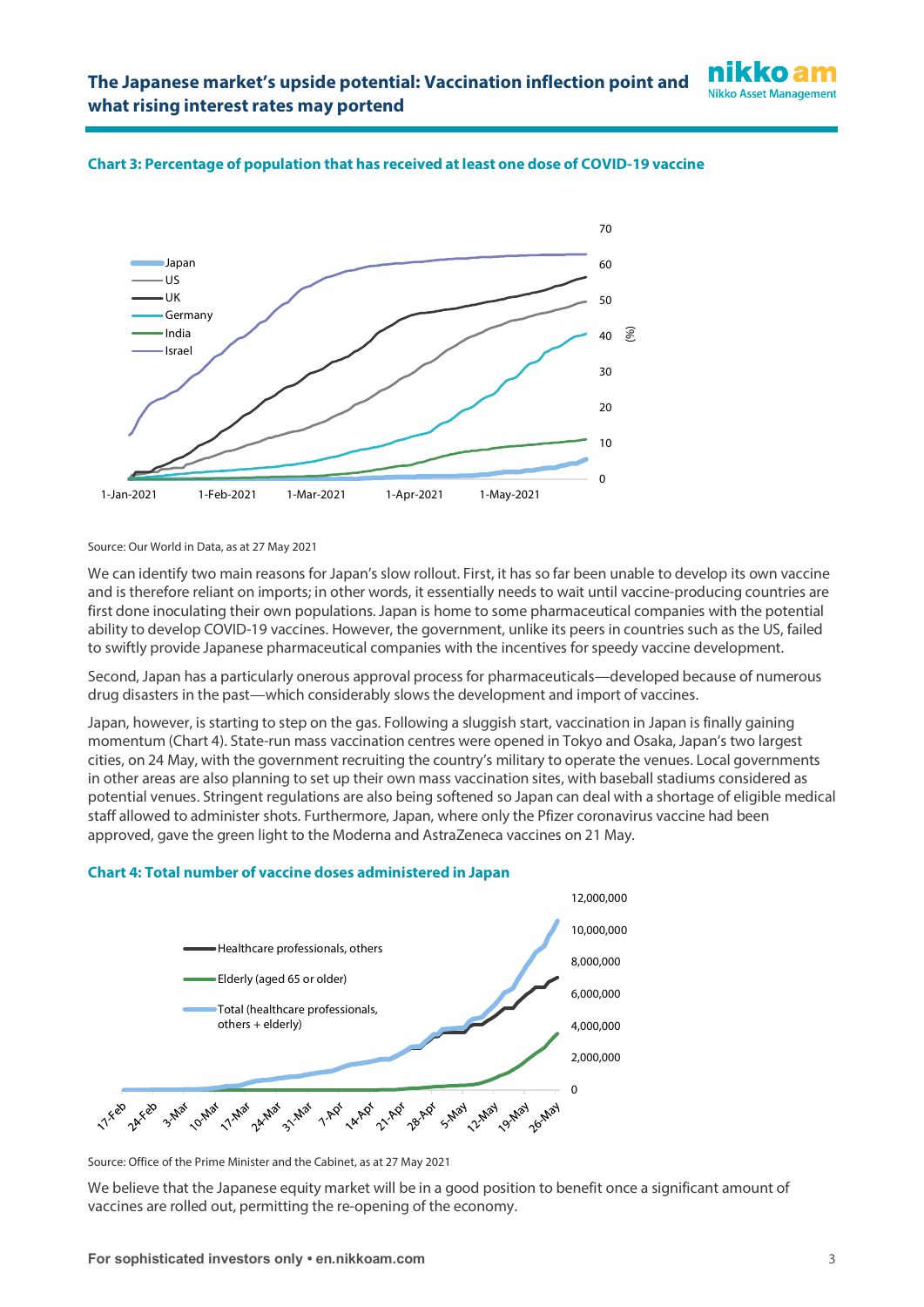



## **Chart 3: Percentage of population that has received at least one dose of COVID-19 vaccine**

Source: Our World in Data, as at 27 May 2021

We can identify two main reasons for Japan's slow rollout. First, it has so far been unable to develop its own vaccine and is therefore reliant on imports; in other words, it essentially needs to wait until vaccine-producing countries are first done inoculating their own populations. Japan is home to some pharmaceutical companies with the potential ability to develop COVID-19 vaccines. However, the government, unlike its peers in countries such as the US, failed to swiftly provide Japanese pharmaceutical companies with the incentives for speedy vaccine development.

Second, Japan has a particularly onerous approval process for pharmaceuticals—developed because of numerous drug disasters in the past—which considerably slows the development and import of vaccines.

Japan, however, is starting to step on the gas. Following a sluggish start, vaccination in Japan is finally gaining momentum (Chart 4). State-run mass vaccination centres were opened in Tokyo and Osaka, Japan's two largest cities, on 24 May, with the government recruiting the country's military to operate the venues. Local governments in other areas are also planning to set up their own mass vaccination sites, with baseball stadiums considered as potential venues. Stringent regulations are also being softened so Japan can deal with a shortage of eligible medical staff allowed to administer shots. Furthermore, Japan, where only the Pfizer coronavirus vaccine had been approved, gave the green light to the Moderna and AstraZeneca vaccines on 21 May.

## **Chart 4: Total number of vaccine doses administered in Japan**



Source: Office of the Prime Minister and the Cabinet, as at 27 May 2021

We believe that the Japanese equity market will be in a good position to benefit once a significant amount of vaccines are rolled out, permitting the re-opening of the economy.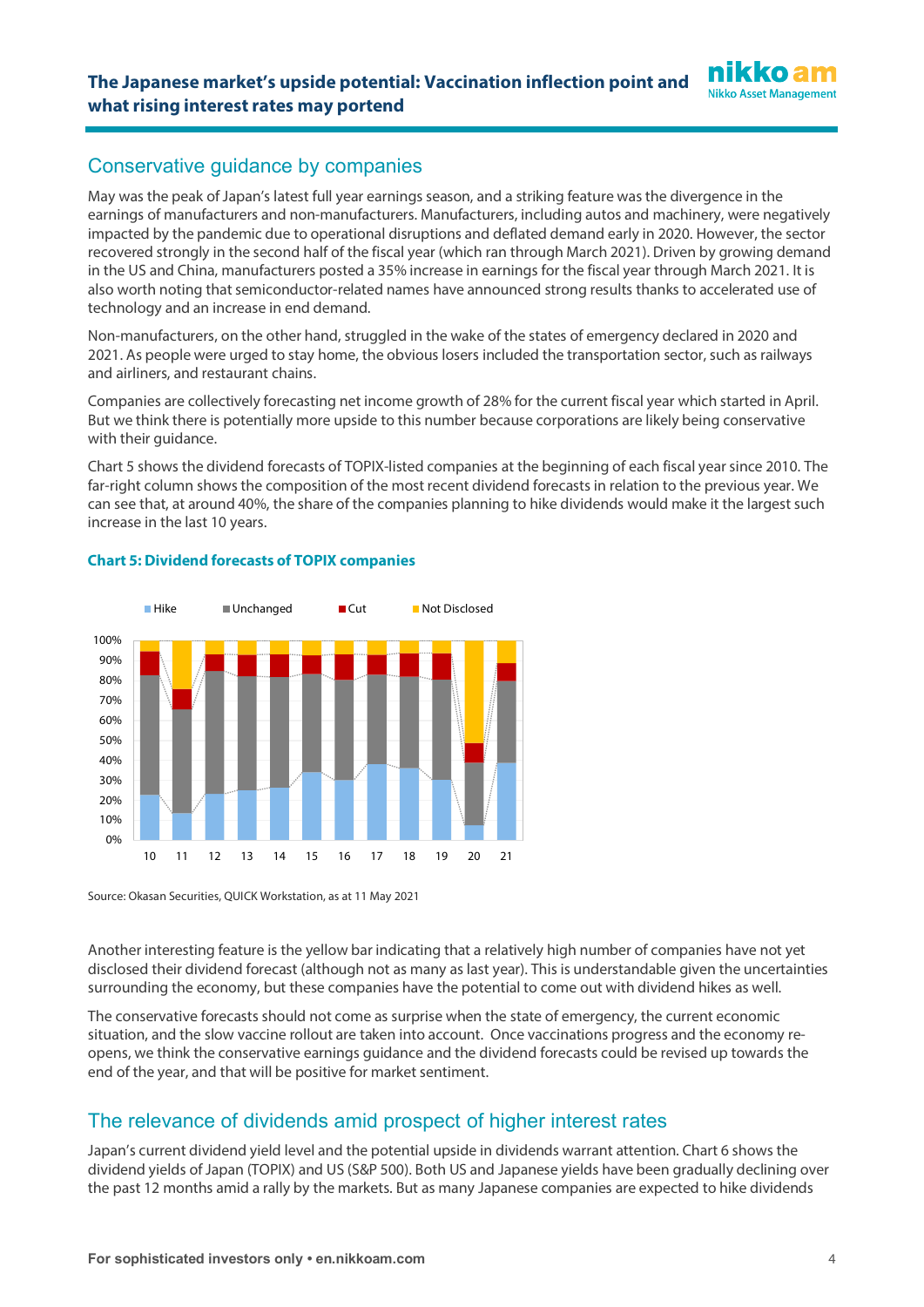# Conservative guidance by companies

May was the peak of Japan's latest full year earnings season, and a striking feature was the divergence in the earnings of manufacturers and non-manufacturers. Manufacturers, including autos and machinery, were negatively impacted by the pandemic due to operational disruptions and deflated demand early in 2020. However, the sector recovered strongly in the second half of the fiscal year (which ran through March 2021). Driven by growing demand in the US and China, manufacturers posted a 35% increase in earnings for the fiscal year through March 2021. It is also worth noting that semiconductor-related names have announced strong results thanks to accelerated use of technology and an increase in end demand.

Non-manufacturers, on the other hand, struggled in the wake of the states of emergency declared in 2020 and 2021. As people were urged to stay home, the obvious losers included the transportation sector, such as railways and airliners, and restaurant chains.

Companies are collectively forecasting net income growth of 28% for the current fiscal year which started in April. But we think there is potentially more upside to this number because corporations are likely being conservative with their guidance.

Chart 5 shows the dividend forecasts of TOPIX-listed companies at the beginning of each fiscal year since 2010. The far-right column shows the composition of the most recent dividend forecasts in relation to the previous year. We can see that, at around 40%, the share of the companies planning to hike dividends would make it the largest such increase in the last 10 years.



## **Chart 5: Dividend forecasts of TOPIX companies**

Source: Okasan Securities, QUICK Workstation, as at 11 May 2021

Another interesting feature is the yellow bar indicating that a relatively high number of companies have not yet disclosed their dividend forecast (although not as many as last year). This is understandable given the uncertainties surrounding the economy, but these companies have the potential to come out with dividend hikes as well.

The conservative forecasts should not come as surprise when the state of emergency, the current economic situation, and the slow vaccine rollout are taken into account. Once vaccinations progress and the economy reopens, we think the conservative earnings guidance and the dividend forecasts could be revised up towards the end of the year, and that will be positive for market sentiment.

# The relevance of dividends amid prospect of higher interest rates

Japan's current dividend yield level and the potential upside in dividends warrant attention. Chart 6 shows the dividend yields of Japan (TOPIX) and US (S&P 500). Both US and Japanese yields have been gradually declining over the past 12 months amid a rally by the markets. But as many Japanese companies are expected to hike dividends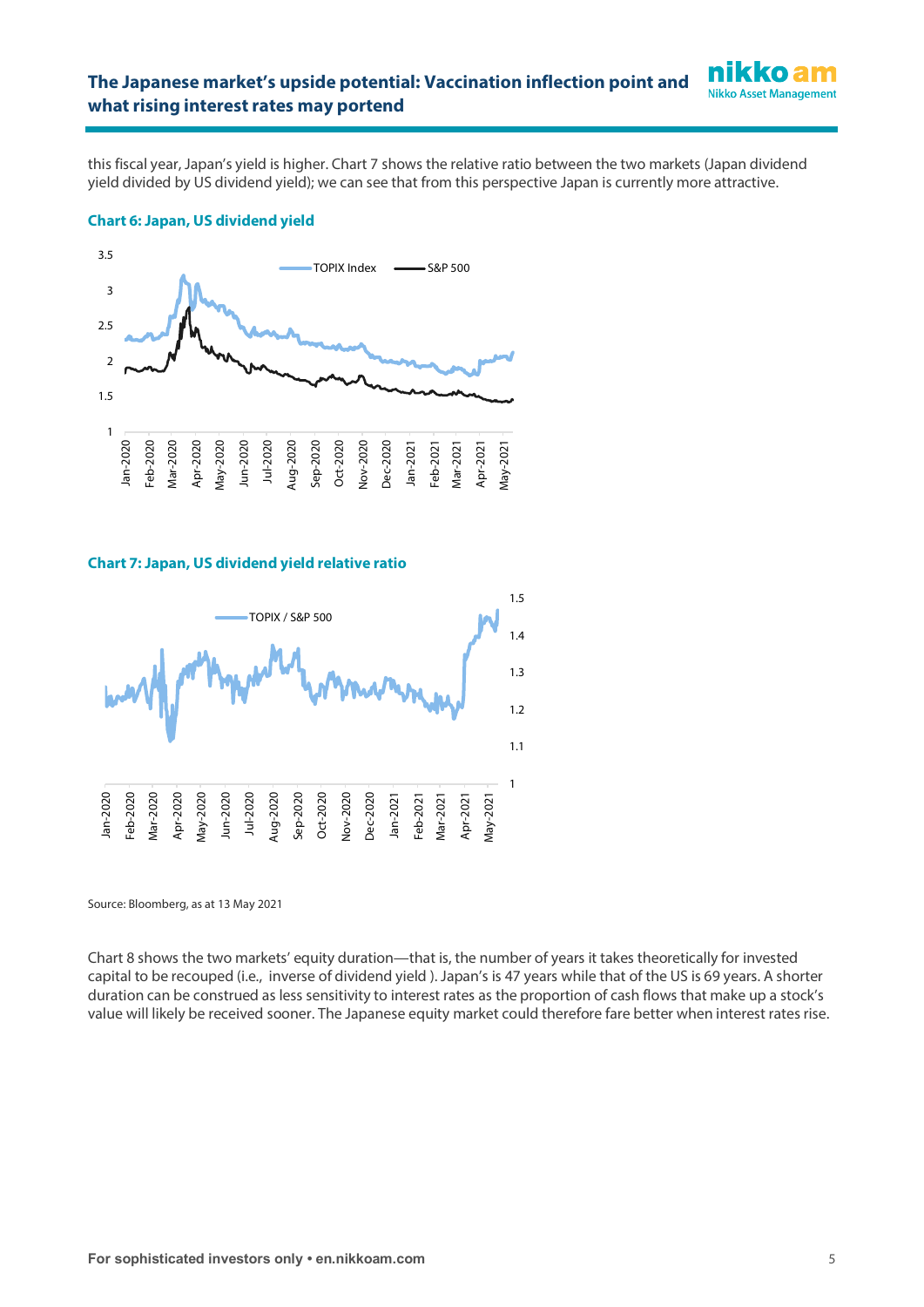this fiscal year, Japan's yield is higher. Chart 7 shows the relative ratio between the two markets (Japan dividend yield divided by US dividend yield); we can see that from this perspective Japan is currently more attractive.

## **Chart 6: Japan, US dividend yield**



#### **Chart 7: Japan, US dividend yield relative ratio**



Source: Bloomberg, as at 13 May 2021

Chart 8 shows the two markets' equity duration—that is, the number of years it takes theoretically for invested capital to be recouped (i.e., inverse of dividend yield ). Japan's is 47 years while that of the US is 69 years. A shorter duration can be construed as less sensitivity to interest rates as the proportion of cash flows that make up a stock's value will likely be received sooner. The Japanese equity market could therefore fare better when interest rates rise.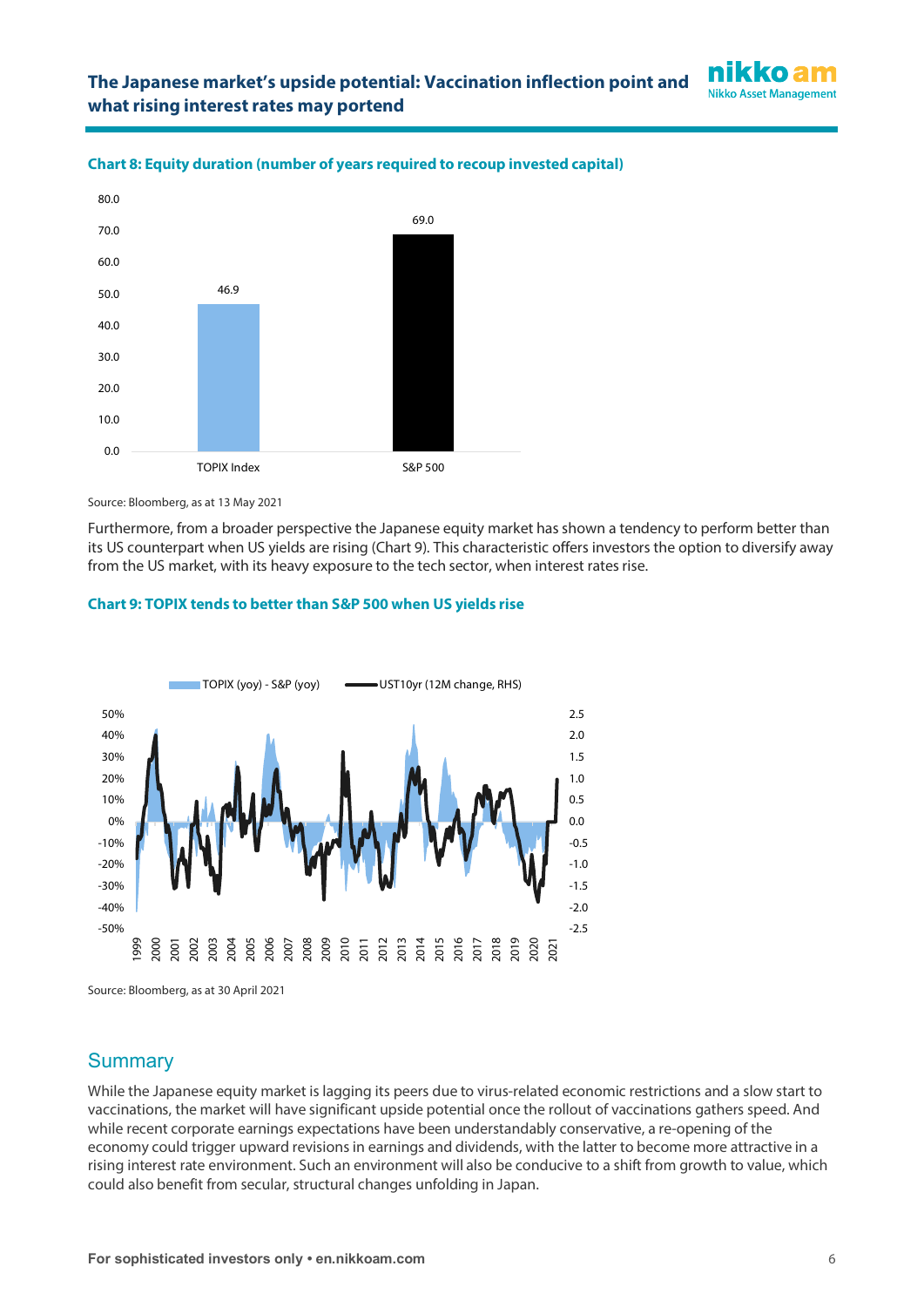



### **Chart 8: Equity duration (number of years required to recoup invested capital)**

Source: Bloomberg, as at 13 May 2021

Furthermore, from a broader perspective the Japanese equity market has shown a tendency to perform better than its US counterpart when US yields are rising (Chart 9). This characteristic offers investors the option to diversify away from the US market, with its heavy exposure to the tech sector, when interest rates rise.

## **Chart 9: TOPIX tends to better than S&P 500 when US yields rise**



Source: Bloomberg, as at 30 April 2021

# **Summary**

While the Japanese equity market is lagging its peers due to virus-related economic restrictions and a slow start to vaccinations, the market will have significant upside potential once the rollout of vaccinations gathers speed. And while recent corporate earnings expectations have been understandably conservative, a re-opening of the economy could trigger upward revisions in earnings and dividends, with the latter to become more attractive in a rising interest rate environment. Such an environment will also be conducive to a shift from growth to value, which could also benefit from secular, structural changes unfolding in Japan.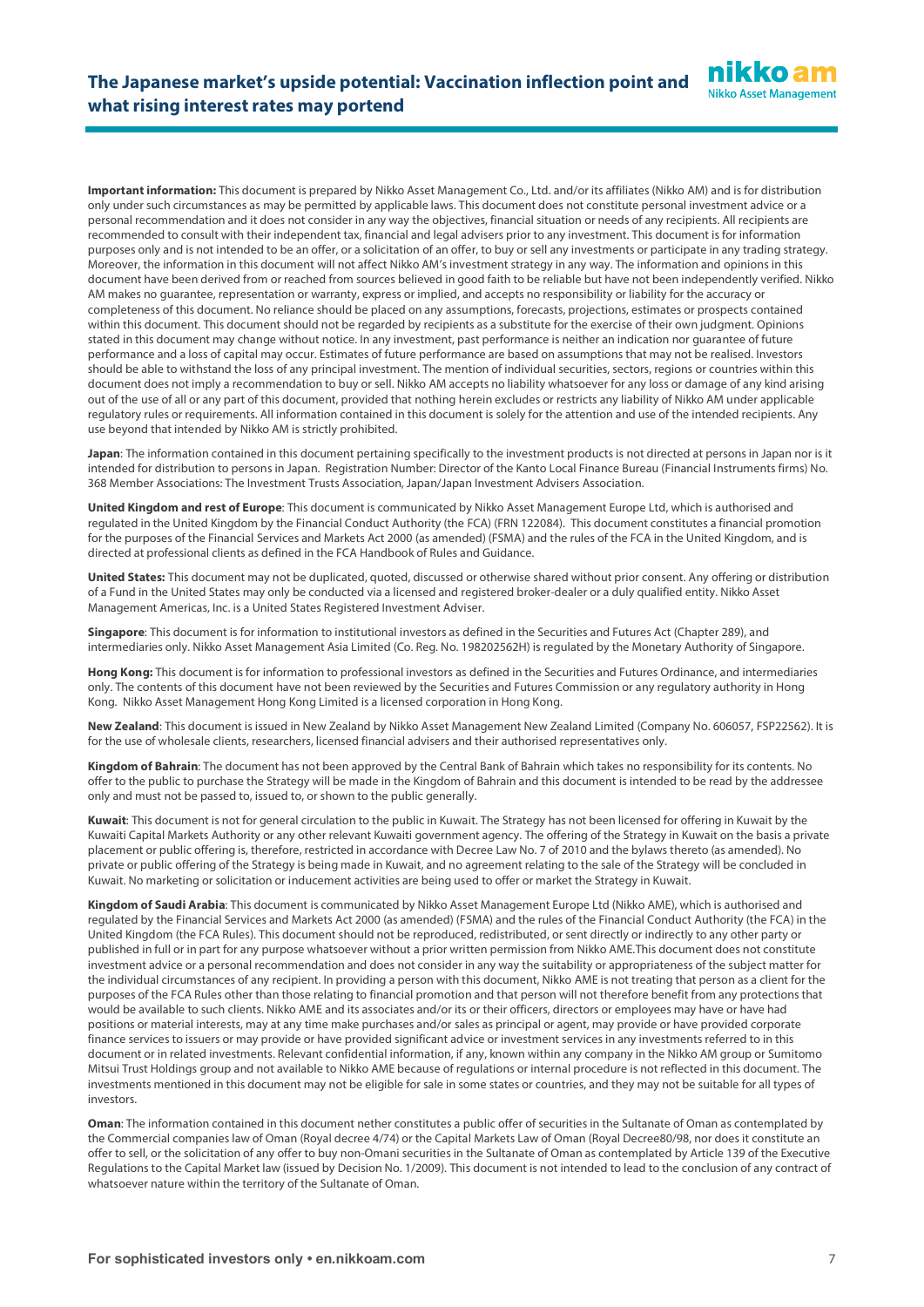**Important information:** This document is prepared by Nikko Asset Management Co., Ltd. and/or its affiliates (Nikko AM) and is for distribution only under such circumstances as may be permitted by applicable laws. This document does not constitute personal investment advice or a personal recommendation and it does not consider in any way the objectives, financial situation or needs of any recipients. All recipients are recommended to consult with their independent tax, financial and legal advisers prior to any investment. This document is for information purposes only and is not intended to be an offer, or a solicitation of an offer, to buy or sell any investments or participate in any trading strategy. Moreover, the information in this document will not affect Nikko AM's investment strategy in any way. The information and opinions in this document have been derived from or reached from sources believed in good faith to be reliable but have not been independently verified. Nikko AM makes no guarantee, representation or warranty, express or implied, and accepts no responsibility or liability for the accuracy or completeness of this document. No reliance should be placed on any assumptions, forecasts, projections, estimates or prospects contained within this document. This document should not be regarded by recipients as a substitute for the exercise of their own judgment. Opinions stated in this document may change without notice. In any investment, past performance is neither an indication nor guarantee of future performance and a loss of capital may occur. Estimates of future performance are based on assumptions that may not be realised. Investors should be able to withstand the loss of any principal investment. The mention of individual securities, sectors, regions or countries within this document does not imply a recommendation to buy or sell. Nikko AM accepts no liability whatsoever for any loss or damage of any kind arising out of the use of all or any part of this document, provided that nothing herein excludes or restricts any liability of Nikko AM under applicable regulatory rules or requirements. All information contained in this document is solely for the attention and use of the intended recipients. Any use beyond that intended by Nikko AM is strictly prohibited.

**Japan**: The information contained in this document pertaining specifically to the investment products is not directed at persons in Japan nor is it intended for distribution to persons in Japan. Registration Number: Director of the Kanto Local Finance Bureau (Financial Instruments firms) No. 368 Member Associations: The Investment Trusts Association, Japan/Japan Investment Advisers Association.

**United Kingdom and rest of Europe**: This document is communicated by Nikko Asset Management Europe Ltd, which is authorised and regulated in the United Kingdom by the Financial Conduct Authority (the FCA) (FRN 122084). This document constitutes a financial promotion for the purposes of the Financial Services and Markets Act 2000 (as amended) (FSMA) and the rules of the FCA in the United Kingdom, and is directed at professional clients as defined in the FCA Handbook of Rules and Guidance.

**United States:** This document may not be duplicated, quoted, discussed or otherwise shared without prior consent. Any offering or distribution of a Fund in the United States may only be conducted via a licensed and registered broker-dealer or a duly qualified entity. Nikko Asset Management Americas, Inc. is a United States Registered Investment Adviser.

**Singapore**: This document is for information to institutional investors as defined in the Securities and Futures Act (Chapter 289), and intermediaries only. Nikko Asset Management Asia Limited (Co. Reg. No. 198202562H) is regulated by the Monetary Authority of Singapore.

**Hong Kong:** This document is for information to professional investors as defined in the Securities and Futures Ordinance, and intermediaries only. The contents of this document have not been reviewed by the Securities and Futures Commission or any regulatory authority in Hong Kong. Nikko Asset Management Hong Kong Limited is a licensed corporation in Hong Kong.

**New Zealand**: This document is issued in New Zealand by Nikko Asset Management New Zealand Limited (Company No. 606057, FSP22562). It is for the use of wholesale clients, researchers, licensed financial advisers and their authorised representatives only.

**Kingdom of Bahrain**: The document has not been approved by the Central Bank of Bahrain which takes no responsibility for its contents. No offer to the public to purchase the Strategy will be made in the Kingdom of Bahrain and this document is intended to be read by the addressee only and must not be passed to, issued to, or shown to the public generally.

**Kuwait**: This document is not for general circulation to the public in Kuwait. The Strategy has not been licensed for offering in Kuwait by the Kuwaiti Capital Markets Authority or any other relevant Kuwaiti government agency. The offering of the Strategy in Kuwait on the basis a private placement or public offering is, therefore, restricted in accordance with Decree Law No. 7 of 2010 and the bylaws thereto (as amended). No private or public offering of the Strategy is being made in Kuwait, and no agreement relating to the sale of the Strategy will be concluded in Kuwait. No marketing or solicitation or inducement activities are being used to offer or market the Strategy in Kuwait.

**Kingdom of Saudi Arabia**: This document is communicated by Nikko Asset Management Europe Ltd (Nikko AME), which is authorised and regulated by the Financial Services and Markets Act 2000 (as amended) (FSMA) and the rules of the Financial Conduct Authority (the FCA) in the United Kingdom (the FCA Rules). This document should not be reproduced, redistributed, or sent directly or indirectly to any other party or published in full or in part for any purpose whatsoever without a prior written permission from Nikko AME.This document does not constitute investment advice or a personal recommendation and does not consider in any way the suitability or appropriateness of the subject matter for the individual circumstances of any recipient. In providing a person with this document, Nikko AME is not treating that person as a client for the purposes of the FCA Rules other than those relating to financial promotion and that person will not therefore benefit from any protections that would be available to such clients. Nikko AME and its associates and/or its or their officers, directors or employees may have or have had positions or material interests, may at any time make purchases and/or sales as principal or agent, may provide or have provided corporate finance services to issuers or may provide or have provided significant advice or investment services in any investments referred to in this document or in related investments. Relevant confidential information, if any, known within any company in the Nikko AM group or Sumitomo Mitsui Trust Holdings group and not available to Nikko AME because of regulations or internal procedure is not reflected in this document. The investments mentioned in this document may not be eligible for sale in some states or countries, and they may not be suitable for all types of investors.

**Oman**: The information contained in this document nether constitutes a public offer of securities in the Sultanate of Oman as contemplated by the Commercial companies law of Oman (Royal decree 4/74) or the Capital Markets Law of Oman (Royal Decree80/98, nor does it constitute an offer to sell, or the solicitation of any offer to buy non-Omani securities in the Sultanate of Oman as contemplated by Article 139 of the Executive Regulations to the Capital Market law (issued by Decision No. 1/2009). This document is not intended to lead to the conclusion of any contract of whatsoever nature within the territory of the Sultanate of Oman.